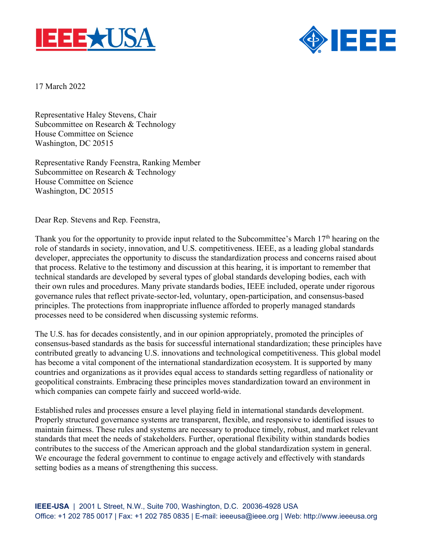



17 March 2022

Representative Haley Stevens, Chair Subcommittee on Research & Technology House Committee on Science Washington, DC 20515

Representative Randy Feenstra, Ranking Member Subcommittee on Research & Technology House Committee on Science Washington, DC 20515

Dear Rep. Stevens and Rep. Feenstra,

Thank you for the opportunity to provide input related to the Subcommittee's March 17<sup>th</sup> hearing on the role of standards in society, innovation, and U.S. competitiveness. IEEE, as a leading global standards developer, appreciates the opportunity to discuss the standardization process and concerns raised about that process. Relative to the testimony and discussion at this hearing, it is important to remember that technical standards are developed by several types of global standards developing bodies, each with their own rules and procedures. Many private standards bodies, IEEE included, operate under rigorous governance rules that reflect private-sector-led, voluntary, open-participation, and consensus-based principles. The protections from inappropriate influence afforded to properly managed standards processes need to be considered when discussing systemic reforms.

The U.S. has for decades consistently, and in our opinion appropriately, promoted the principles of consensus-based standards as the basis for successful international standardization; these principles have contributed greatly to advancing U.S. innovations and technological competitiveness. This global model has become a vital component of the international standardization ecosystem. It is supported by many countries and organizations as it provides equal access to standards setting regardless of nationality or geopolitical constraints. Embracing these principles moves standardization toward an environment in which companies can compete fairly and succeed world-wide.

Established rules and processes ensure a level playing field in international standards development. Properly structured governance systems are transparent, flexible, and responsive to identified issues to maintain fairness. These rules and systems are necessary to produce timely, robust, and market relevant standards that meet the needs of stakeholders. Further, operational flexibility within standards bodies contributes to the success of the American approach and the global standardization system in general. We encourage the federal government to continue to engage actively and effectively with standards setting bodies as a means of strengthening this success.